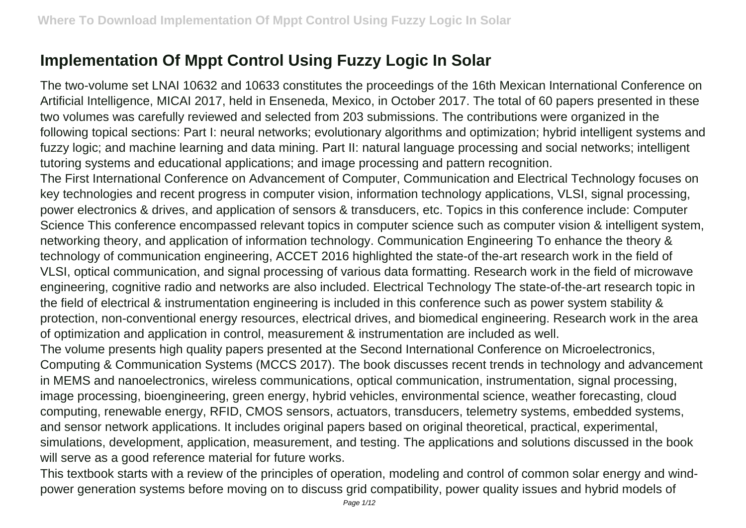## **Implementation Of Mppt Control Using Fuzzy Logic In Solar**

The two-volume set LNAI 10632 and 10633 constitutes the proceedings of the 16th Mexican International Conference on Artificial Intelligence, MICAI 2017, held in Enseneda, Mexico, in October 2017. The total of 60 papers presented in these two volumes was carefully reviewed and selected from 203 submissions. The contributions were organized in the following topical sections: Part I: neural networks; evolutionary algorithms and optimization; hybrid intelligent systems and fuzzy logic; and machine learning and data mining. Part II: natural language processing and social networks; intelligent tutoring systems and educational applications; and image processing and pattern recognition.

The First International Conference on Advancement of Computer, Communication and Electrical Technology focuses on key technologies and recent progress in computer vision, information technology applications, VLSI, signal processing, power electronics & drives, and application of sensors & transducers, etc. Topics in this conference include: Computer Science This conference encompassed relevant topics in computer science such as computer vision & intelligent system, networking theory, and application of information technology. Communication Engineering To enhance the theory & technology of communication engineering, ACCET 2016 highlighted the state-of the-art research work in the field of VLSI, optical communication, and signal processing of various data formatting. Research work in the field of microwave engineering, cognitive radio and networks are also included. Electrical Technology The state-of-the-art research topic in the field of electrical & instrumentation engineering is included in this conference such as power system stability & protection, non-conventional energy resources, electrical drives, and biomedical engineering. Research work in the area of optimization and application in control, measurement & instrumentation are included as well.

The volume presents high quality papers presented at the Second International Conference on Microelectronics, Computing & Communication Systems (MCCS 2017). The book discusses recent trends in technology and advancement in MEMS and nanoelectronics, wireless communications, optical communication, instrumentation, signal processing, image processing, bioengineering, green energy, hybrid vehicles, environmental science, weather forecasting, cloud computing, renewable energy, RFID, CMOS sensors, actuators, transducers, telemetry systems, embedded systems, and sensor network applications. It includes original papers based on original theoretical, practical, experimental, simulations, development, application, measurement, and testing. The applications and solutions discussed in the book will serve as a good reference material for future works.

This textbook starts with a review of the principles of operation, modeling and control of common solar energy and windpower generation systems before moving on to discuss grid compatibility, power quality issues and hybrid models of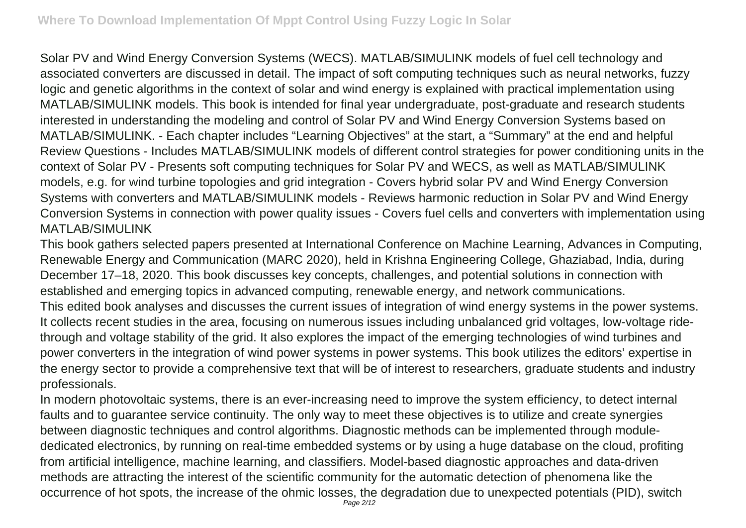Solar PV and Wind Energy Conversion Systems (WECS). MATLAB/SIMULINK models of fuel cell technology and associated converters are discussed in detail. The impact of soft computing techniques such as neural networks, fuzzy logic and genetic algorithms in the context of solar and wind energy is explained with practical implementation using MATLAB/SIMULINK models. This book is intended for final year undergraduate, post-graduate and research students interested in understanding the modeling and control of Solar PV and Wind Energy Conversion Systems based on MATLAB/SIMULINK. - Each chapter includes "Learning Objectives" at the start, a "Summary" at the end and helpful Review Questions - Includes MATLAB/SIMULINK models of different control strategies for power conditioning units in the context of Solar PV - Presents soft computing techniques for Solar PV and WECS, as well as MATLAB/SIMULINK models, e.g. for wind turbine topologies and grid integration - Covers hybrid solar PV and Wind Energy Conversion Systems with converters and MATLAB/SIMULINK models - Reviews harmonic reduction in Solar PV and Wind Energy Conversion Systems in connection with power quality issues - Covers fuel cells and converters with implementation using MATLAB/SIMULINK

This book gathers selected papers presented at International Conference on Machine Learning, Advances in Computing, Renewable Energy and Communication (MARC 2020), held in Krishna Engineering College, Ghaziabad, India, during December 17–18, 2020. This book discusses key concepts, challenges, and potential solutions in connection with established and emerging topics in advanced computing, renewable energy, and network communications.

This edited book analyses and discusses the current issues of integration of wind energy systems in the power systems. It collects recent studies in the area, focusing on numerous issues including unbalanced grid voltages, low-voltage ridethrough and voltage stability of the grid. It also explores the impact of the emerging technologies of wind turbines and power converters in the integration of wind power systems in power systems. This book utilizes the editors' expertise in the energy sector to provide a comprehensive text that will be of interest to researchers, graduate students and industry professionals.

In modern photovoltaic systems, there is an ever-increasing need to improve the system efficiency, to detect internal faults and to guarantee service continuity. The only way to meet these objectives is to utilize and create synergies between diagnostic techniques and control algorithms. Diagnostic methods can be implemented through modulededicated electronics, by running on real-time embedded systems or by using a huge database on the cloud, profiting from artificial intelligence, machine learning, and classifiers. Model-based diagnostic approaches and data-driven methods are attracting the interest of the scientific community for the automatic detection of phenomena like the occurrence of hot spots, the increase of the ohmic losses, the degradation due to unexpected potentials (PID), switch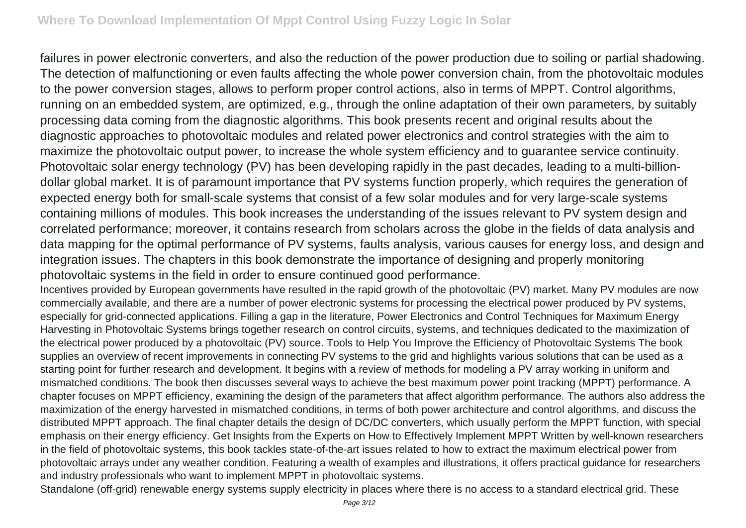failures in power electronic converters, and also the reduction of the power production due to soiling or partial shadowing. The detection of malfunctioning or even faults affecting the whole power conversion chain, from the photovoltaic modules to the power conversion stages, allows to perform proper control actions, also in terms of MPPT. Control algorithms, running on an embedded system, are optimized, e.g., through the online adaptation of their own parameters, by suitably processing data coming from the diagnostic algorithms. This book presents recent and original results about the diagnostic approaches to photovoltaic modules and related power electronics and control strategies with the aim to maximize the photovoltaic output power, to increase the whole system efficiency and to guarantee service continuity. Photovoltaic solar energy technology (PV) has been developing rapidly in the past decades, leading to a multi-billiondollar global market. It is of paramount importance that PV systems function properly, which requires the generation of expected energy both for small-scale systems that consist of a few solar modules and for very large-scale systems containing millions of modules. This book increases the understanding of the issues relevant to PV system design and correlated performance; moreover, it contains research from scholars across the globe in the fields of data analysis and data mapping for the optimal performance of PV systems, faults analysis, various causes for energy loss, and design and integration issues. The chapters in this book demonstrate the importance of designing and properly monitoring photovoltaic systems in the field in order to ensure continued good performance.

Incentives provided by European governments have resulted in the rapid growth of the photovoltaic (PV) market. Many PV modules are now commercially available, and there are a number of power electronic systems for processing the electrical power produced by PV systems, especially for grid-connected applications. Filling a gap in the literature, Power Electronics and Control Techniques for Maximum Energy Harvesting in Photovoltaic Systems brings together research on control circuits, systems, and techniques dedicated to the maximization of the electrical power produced by a photovoltaic (PV) source. Tools to Help You Improve the Efficiency of Photovoltaic Systems The book supplies an overview of recent improvements in connecting PV systems to the grid and highlights various solutions that can be used as a starting point for further research and development. It begins with a review of methods for modeling a PV array working in uniform and mismatched conditions. The book then discusses several ways to achieve the best maximum power point tracking (MPPT) performance. A chapter focuses on MPPT efficiency, examining the design of the parameters that affect algorithm performance. The authors also address the maximization of the energy harvested in mismatched conditions, in terms of both power architecture and control algorithms, and discuss the distributed MPPT approach. The final chapter details the design of DC/DC converters, which usually perform the MPPT function, with special emphasis on their energy efficiency. Get Insights from the Experts on How to Effectively Implement MPPT Written by well-known researchers in the field of photovoltaic systems, this book tackles state-of-the-art issues related to how to extract the maximum electrical power from photovoltaic arrays under any weather condition. Featuring a wealth of examples and illustrations, it offers practical guidance for researchers and industry professionals who want to implement MPPT in photovoltaic systems.

Standalone (off-grid) renewable energy systems supply electricity in places where there is no access to a standard electrical grid. These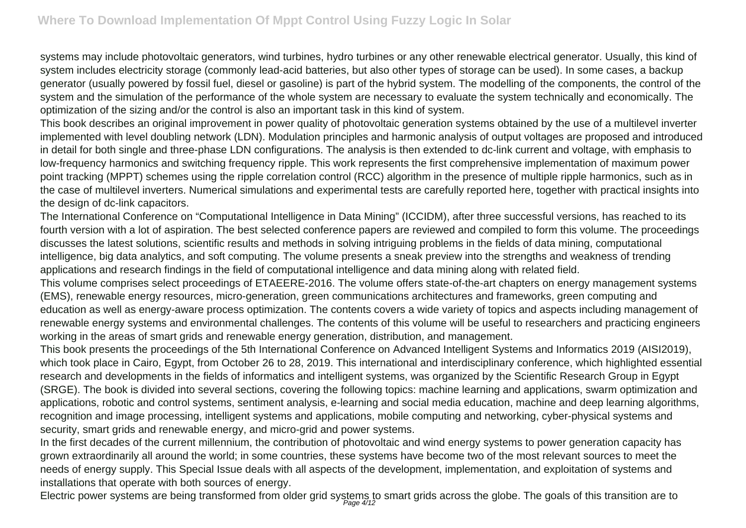systems may include photovoltaic generators, wind turbines, hydro turbines or any other renewable electrical generator. Usually, this kind of system includes electricity storage (commonly lead-acid batteries, but also other types of storage can be used). In some cases, a backup generator (usually powered by fossil fuel, diesel or gasoline) is part of the hybrid system. The modelling of the components, the control of the system and the simulation of the performance of the whole system are necessary to evaluate the system technically and economically. The optimization of the sizing and/or the control is also an important task in this kind of system.

This book describes an original improvement in power quality of photovoltaic generation systems obtained by the use of a multilevel inverter implemented with level doubling network (LDN). Modulation principles and harmonic analysis of output voltages are proposed and introduced in detail for both single and three-phase LDN configurations. The analysis is then extended to dc-link current and voltage, with emphasis to low-frequency harmonics and switching frequency ripple. This work represents the first comprehensive implementation of maximum power point tracking (MPPT) schemes using the ripple correlation control (RCC) algorithm in the presence of multiple ripple harmonics, such as in the case of multilevel inverters. Numerical simulations and experimental tests are carefully reported here, together with practical insights into the design of dc-link capacitors.

The International Conference on "Computational Intelligence in Data Mining" (ICCIDM), after three successful versions, has reached to its fourth version with a lot of aspiration. The best selected conference papers are reviewed and compiled to form this volume. The proceedings discusses the latest solutions, scientific results and methods in solving intriguing problems in the fields of data mining, computational intelligence, big data analytics, and soft computing. The volume presents a sneak preview into the strengths and weakness of trending applications and research findings in the field of computational intelligence and data mining along with related field.

This volume comprises select proceedings of ETAEERE-2016. The volume offers state-of-the-art chapters on energy management systems (EMS), renewable energy resources, micro-generation, green communications architectures and frameworks, green computing and education as well as energy-aware process optimization. The contents covers a wide variety of topics and aspects including management of renewable energy systems and environmental challenges. The contents of this volume will be useful to researchers and practicing engineers working in the areas of smart grids and renewable energy generation, distribution, and management.

This book presents the proceedings of the 5th International Conference on Advanced Intelligent Systems and Informatics 2019 (AISI2019), which took place in Cairo, Egypt, from October 26 to 28, 2019. This international and interdisciplinary conference, which highlighted essential research and developments in the fields of informatics and intelligent systems, was organized by the Scientific Research Group in Egypt (SRGE). The book is divided into several sections, covering the following topics: machine learning and applications, swarm optimization and applications, robotic and control systems, sentiment analysis, e-learning and social media education, machine and deep learning algorithms, recognition and image processing, intelligent systems and applications, mobile computing and networking, cyber-physical systems and security, smart grids and renewable energy, and micro-grid and power systems.

In the first decades of the current millennium, the contribution of photovoltaic and wind energy systems to power generation capacity has grown extraordinarily all around the world; in some countries, these systems have become two of the most relevant sources to meet the needs of energy supply. This Special Issue deals with all aspects of the development, implementation, and exploitation of systems and installations that operate with both sources of energy.

Electric power systems are being transformed from older grid systems to smart grids across the globe. The goals of this transition are to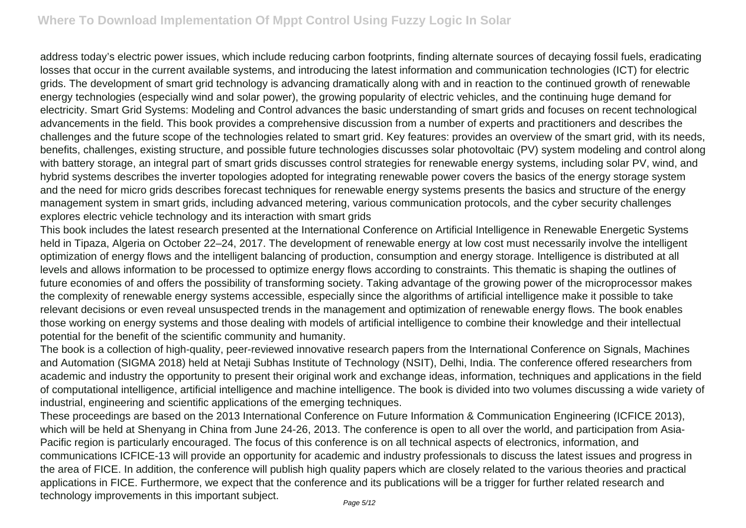address today's electric power issues, which include reducing carbon footprints, finding alternate sources of decaying fossil fuels, eradicating losses that occur in the current available systems, and introducing the latest information and communication technologies (ICT) for electric grids. The development of smart grid technology is advancing dramatically along with and in reaction to the continued growth of renewable energy technologies (especially wind and solar power), the growing popularity of electric vehicles, and the continuing huge demand for electricity. Smart Grid Systems: Modeling and Control advances the basic understanding of smart grids and focuses on recent technological advancements in the field. This book provides a comprehensive discussion from a number of experts and practitioners and describes the challenges and the future scope of the technologies related to smart grid. Key features: provides an overview of the smart grid, with its needs, benefits, challenges, existing structure, and possible future technologies discusses solar photovoltaic (PV) system modeling and control along with battery storage, an integral part of smart grids discusses control strategies for renewable energy systems, including solar PV, wind, and hybrid systems describes the inverter topologies adopted for integrating renewable power covers the basics of the energy storage system and the need for micro grids describes forecast techniques for renewable energy systems presents the basics and structure of the energy management system in smart grids, including advanced metering, various communication protocols, and the cyber security challenges explores electric vehicle technology and its interaction with smart grids

This book includes the latest research presented at the International Conference on Artificial Intelligence in Renewable Energetic Systems held in Tipaza, Algeria on October 22–24, 2017. The development of renewable energy at low cost must necessarily involve the intelligent optimization of energy flows and the intelligent balancing of production, consumption and energy storage. Intelligence is distributed at all levels and allows information to be processed to optimize energy flows according to constraints. This thematic is shaping the outlines of future economies of and offers the possibility of transforming society. Taking advantage of the growing power of the microprocessor makes the complexity of renewable energy systems accessible, especially since the algorithms of artificial intelligence make it possible to take relevant decisions or even reveal unsuspected trends in the management and optimization of renewable energy flows. The book enables those working on energy systems and those dealing with models of artificial intelligence to combine their knowledge and their intellectual potential for the benefit of the scientific community and humanity.

The book is a collection of high-quality, peer-reviewed innovative research papers from the International Conference on Signals, Machines and Automation (SIGMA 2018) held at Netaji Subhas Institute of Technology (NSIT), Delhi, India. The conference offered researchers from academic and industry the opportunity to present their original work and exchange ideas, information, techniques and applications in the field of computational intelligence, artificial intelligence and machine intelligence. The book is divided into two volumes discussing a wide variety of industrial, engineering and scientific applications of the emerging techniques.

These proceedings are based on the 2013 International Conference on Future Information & Communication Engineering (ICFICE 2013), which will be held at Shenyang in China from June 24-26, 2013. The conference is open to all over the world, and participation from Asia-Pacific region is particularly encouraged. The focus of this conference is on all technical aspects of electronics, information, and communications ICFICE-13 will provide an opportunity for academic and industry professionals to discuss the latest issues and progress in the area of FICE. In addition, the conference will publish high quality papers which are closely related to the various theories and practical applications in FICE. Furthermore, we expect that the conference and its publications will be a trigger for further related research and technology improvements in this important subject.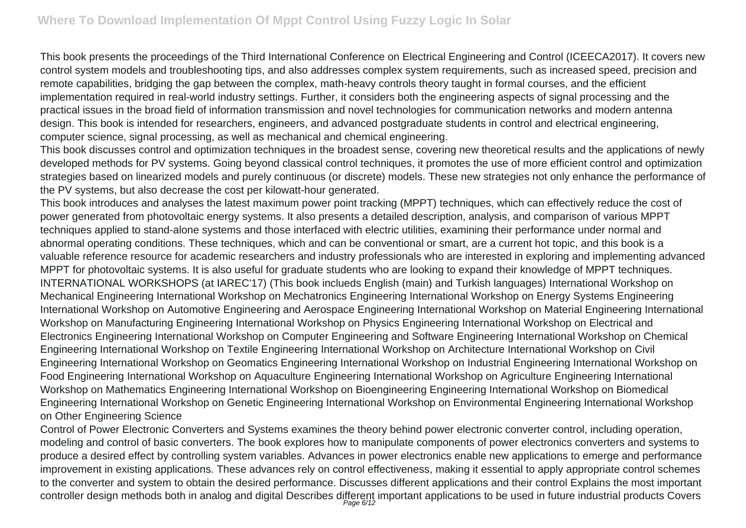This book presents the proceedings of the Third International Conference on Electrical Engineering and Control (ICEECA2017). It covers new control system models and troubleshooting tips, and also addresses complex system requirements, such as increased speed, precision and remote capabilities, bridging the gap between the complex, math-heavy controls theory taught in formal courses, and the efficient implementation required in real-world industry settings. Further, it considers both the engineering aspects of signal processing and the practical issues in the broad field of information transmission and novel technologies for communication networks and modern antenna design. This book is intended for researchers, engineers, and advanced postgraduate students in control and electrical engineering, computer science, signal processing, as well as mechanical and chemical engineering.

This book discusses control and optimization techniques in the broadest sense, covering new theoretical results and the applications of newly developed methods for PV systems. Going beyond classical control techniques, it promotes the use of more efficient control and optimization strategies based on linearized models and purely continuous (or discrete) models. These new strategies not only enhance the performance of the PV systems, but also decrease the cost per kilowatt-hour generated.

This book introduces and analyses the latest maximum power point tracking (MPPT) techniques, which can effectively reduce the cost of power generated from photovoltaic energy systems. It also presents a detailed description, analysis, and comparison of various MPPT techniques applied to stand-alone systems and those interfaced with electric utilities, examining their performance under normal and abnormal operating conditions. These techniques, which and can be conventional or smart, are a current hot topic, and this book is a valuable reference resource for academic researchers and industry professionals who are interested in exploring and implementing advanced MPPT for photovoltaic systems. It is also useful for graduate students who are looking to expand their knowledge of MPPT techniques. INTERNATIONAL WORKSHOPS (at IAREC'17) (This book inclueds English (main) and Turkish languages) International Workshop on Mechanical Engineering International Workshop on Mechatronics Engineering International Workshop on Energy Systems Engineering International Workshop on Automotive Engineering and Aerospace Engineering International Workshop on Material Engineering International Workshop on Manufacturing Engineering International Workshop on Physics Engineering International Workshop on Electrical and Electronics Engineering International Workshop on Computer Engineering and Software Engineering International Workshop on Chemical Engineering International Workshop on Textile Engineering International Workshop on Architecture International Workshop on Civil Engineering International Workshop on Geomatics Engineering International Workshop on Industrial Engineering International Workshop on Food Engineering International Workshop on Aquaculture Engineering International Workshop on Agriculture Engineering International Workshop on Mathematics Engineering International Workshop on Bioengineering Engineering International Workshop on Biomedical Engineering International Workshop on Genetic Engineering International Workshop on Environmental Engineering International Workshop on Other Engineering Science

Control of Power Electronic Converters and Systems examines the theory behind power electronic converter control, including operation, modeling and control of basic converters. The book explores how to manipulate components of power electronics converters and systems to produce a desired effect by controlling system variables. Advances in power electronics enable new applications to emerge and performance improvement in existing applications. These advances rely on control effectiveness, making it essential to apply appropriate control schemes to the converter and system to obtain the desired performance. Discusses different applications and their control Explains the most important controller design methods both in analog and digital Describes different important applications to be used in future industrial products Covers Page 6/12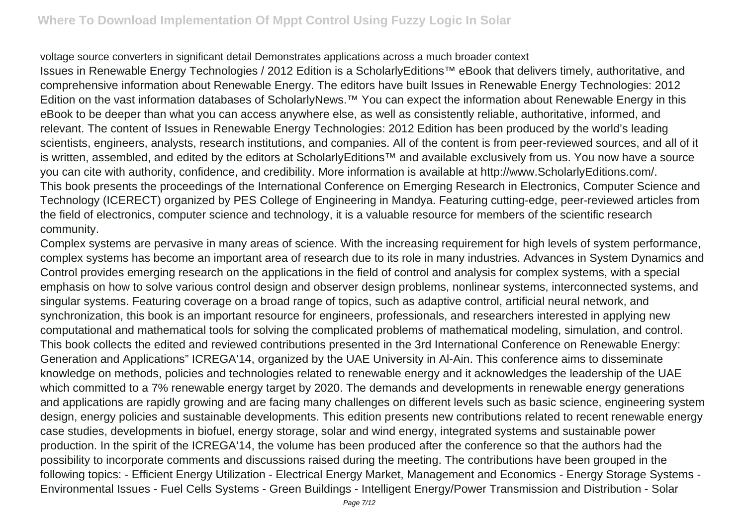## voltage source converters in significant detail Demonstrates applications across a much broader context

Issues in Renewable Energy Technologies / 2012 Edition is a ScholarlyEditions™ eBook that delivers timely, authoritative, and comprehensive information about Renewable Energy. The editors have built Issues in Renewable Energy Technologies: 2012 Edition on the vast information databases of ScholarlyNews.™ You can expect the information about Renewable Energy in this eBook to be deeper than what you can access anywhere else, as well as consistently reliable, authoritative, informed, and relevant. The content of Issues in Renewable Energy Technologies: 2012 Edition has been produced by the world's leading scientists, engineers, analysts, research institutions, and companies. All of the content is from peer-reviewed sources, and all of it is written, assembled, and edited by the editors at ScholarlyEditions™ and available exclusively from us. You now have a source you can cite with authority, confidence, and credibility. More information is available at http://www.ScholarlyEditions.com/. This book presents the proceedings of the International Conference on Emerging Research in Electronics, Computer Science and Technology (ICERECT) organized by PES College of Engineering in Mandya. Featuring cutting-edge, peer-reviewed articles from the field of electronics, computer science and technology, it is a valuable resource for members of the scientific research community.

Complex systems are pervasive in many areas of science. With the increasing requirement for high levels of system performance, complex systems has become an important area of research due to its role in many industries. Advances in System Dynamics and Control provides emerging research on the applications in the field of control and analysis for complex systems, with a special emphasis on how to solve various control design and observer design problems, nonlinear systems, interconnected systems, and singular systems. Featuring coverage on a broad range of topics, such as adaptive control, artificial neural network, and synchronization, this book is an important resource for engineers, professionals, and researchers interested in applying new computational and mathematical tools for solving the complicated problems of mathematical modeling, simulation, and control. This book collects the edited and reviewed contributions presented in the 3rd International Conference on Renewable Energy: Generation and Applications" ICREGA'14, organized by the UAE University in Al-Ain. This conference aims to disseminate knowledge on methods, policies and technologies related to renewable energy and it acknowledges the leadership of the UAE which committed to a 7% renewable energy target by 2020. The demands and developments in renewable energy generations and applications are rapidly growing and are facing many challenges on different levels such as basic science, engineering system design, energy policies and sustainable developments. This edition presents new contributions related to recent renewable energy case studies, developments in biofuel, energy storage, solar and wind energy, integrated systems and sustainable power production. In the spirit of the ICREGA'14, the volume has been produced after the conference so that the authors had the possibility to incorporate comments and discussions raised during the meeting. The contributions have been grouped in the following topics: - Efficient Energy Utilization - Electrical Energy Market, Management and Economics - Energy Storage Systems - Environmental Issues - Fuel Cells Systems - Green Buildings - Intelligent Energy/Power Transmission and Distribution - Solar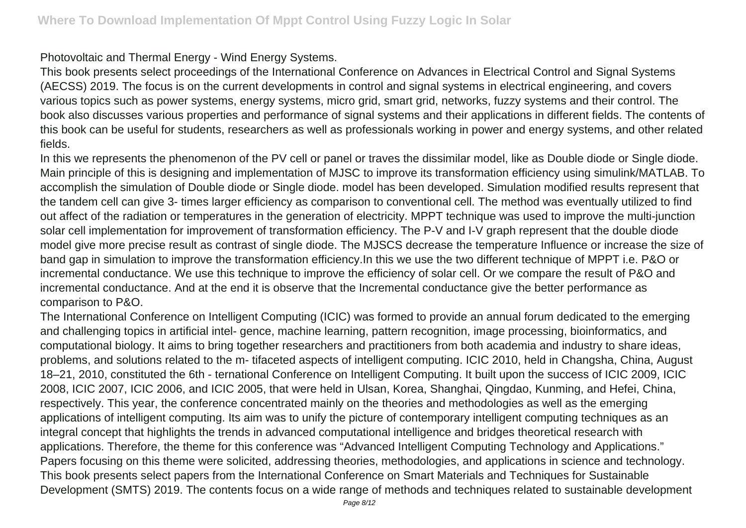## Photovoltaic and Thermal Energy - Wind Energy Systems.

This book presents select proceedings of the International Conference on Advances in Electrical Control and Signal Systems (AECSS) 2019. The focus is on the current developments in control and signal systems in electrical engineering, and covers various topics such as power systems, energy systems, micro grid, smart grid, networks, fuzzy systems and their control. The book also discusses various properties and performance of signal systems and their applications in different fields. The contents of this book can be useful for students, researchers as well as professionals working in power and energy systems, and other related fields.

In this we represents the phenomenon of the PV cell or panel or traves the dissimilar model, like as Double diode or Single diode. Main principle of this is designing and implementation of MJSC to improve its transformation efficiency using simulink/MATLAB. To accomplish the simulation of Double diode or Single diode. model has been developed. Simulation modified results represent that the tandem cell can give 3- times larger efficiency as comparison to conventional cell. The method was eventually utilized to find out affect of the radiation or temperatures in the generation of electricity. MPPT technique was used to improve the multi-junction solar cell implementation for improvement of transformation efficiency. The P-V and I-V graph represent that the double diode model give more precise result as contrast of single diode. The MJSCS decrease the temperature Influence or increase the size of band gap in simulation to improve the transformation efficiency.In this we use the two different technique of MPPT i.e. P&O or incremental conductance. We use this technique to improve the efficiency of solar cell. Or we compare the result of P&O and incremental conductance. And at the end it is observe that the Incremental conductance give the better performance as comparison to P&O.

The International Conference on Intelligent Computing (ICIC) was formed to provide an annual forum dedicated to the emerging and challenging topics in artificial intel- gence, machine learning, pattern recognition, image processing, bioinformatics, and computational biology. It aims to bring together researchers and practitioners from both academia and industry to share ideas, problems, and solutions related to the m- tifaceted aspects of intelligent computing. ICIC 2010, held in Changsha, China, August 18–21, 2010, constituted the 6th - ternational Conference on Intelligent Computing. It built upon the success of ICIC 2009, ICIC 2008, ICIC 2007, ICIC 2006, and ICIC 2005, that were held in Ulsan, Korea, Shanghai, Qingdao, Kunming, and Hefei, China, respectively. This year, the conference concentrated mainly on the theories and methodologies as well as the emerging applications of intelligent computing. Its aim was to unify the picture of contemporary intelligent computing techniques as an integral concept that highlights the trends in advanced computational intelligence and bridges theoretical research with applications. Therefore, the theme for this conference was "Advanced Intelligent Computing Technology and Applications." Papers focusing on this theme were solicited, addressing theories, methodologies, and applications in science and technology. This book presents select papers from the International Conference on Smart Materials and Techniques for Sustainable Development (SMTS) 2019. The contents focus on a wide range of methods and techniques related to sustainable development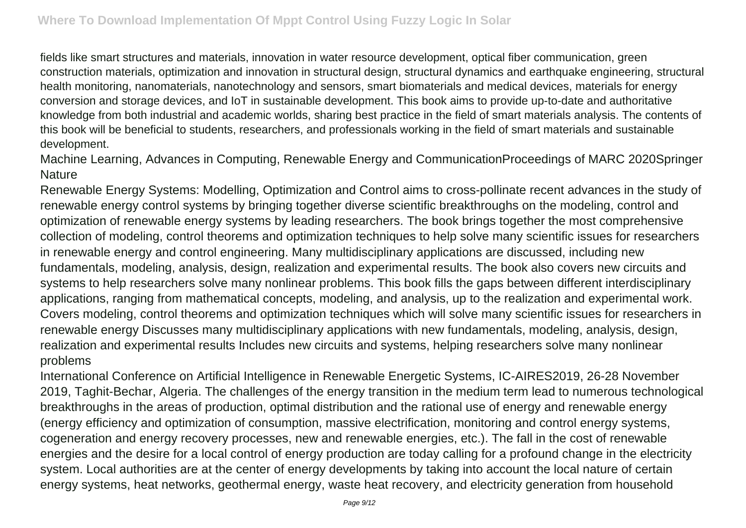fields like smart structures and materials, innovation in water resource development, optical fiber communication, green construction materials, optimization and innovation in structural design, structural dynamics and earthquake engineering, structural health monitoring, nanomaterials, nanotechnology and sensors, smart biomaterials and medical devices, materials for energy conversion and storage devices, and IoT in sustainable development. This book aims to provide up-to-date and authoritative knowledge from both industrial and academic worlds, sharing best practice in the field of smart materials analysis. The contents of this book will be beneficial to students, researchers, and professionals working in the field of smart materials and sustainable development.

Machine Learning, Advances in Computing, Renewable Energy and CommunicationProceedings of MARC 2020Springer **Nature** 

Renewable Energy Systems: Modelling, Optimization and Control aims to cross-pollinate recent advances in the study of renewable energy control systems by bringing together diverse scientific breakthroughs on the modeling, control and optimization of renewable energy systems by leading researchers. The book brings together the most comprehensive collection of modeling, control theorems and optimization techniques to help solve many scientific issues for researchers in renewable energy and control engineering. Many multidisciplinary applications are discussed, including new fundamentals, modeling, analysis, design, realization and experimental results. The book also covers new circuits and systems to help researchers solve many nonlinear problems. This book fills the gaps between different interdisciplinary applications, ranging from mathematical concepts, modeling, and analysis, up to the realization and experimental work. Covers modeling, control theorems and optimization techniques which will solve many scientific issues for researchers in renewable energy Discusses many multidisciplinary applications with new fundamentals, modeling, analysis, design, realization and experimental results Includes new circuits and systems, helping researchers solve many nonlinear problems

International Conference on Artificial Intelligence in Renewable Energetic Systems, IC-AIRES2019, 26-28 November 2019, Taghit-Bechar, Algeria. The challenges of the energy transition in the medium term lead to numerous technological breakthroughs in the areas of production, optimal distribution and the rational use of energy and renewable energy (energy efficiency and optimization of consumption, massive electrification, monitoring and control energy systems, cogeneration and energy recovery processes, new and renewable energies, etc.). The fall in the cost of renewable energies and the desire for a local control of energy production are today calling for a profound change in the electricity system. Local authorities are at the center of energy developments by taking into account the local nature of certain energy systems, heat networks, geothermal energy, waste heat recovery, and electricity generation from household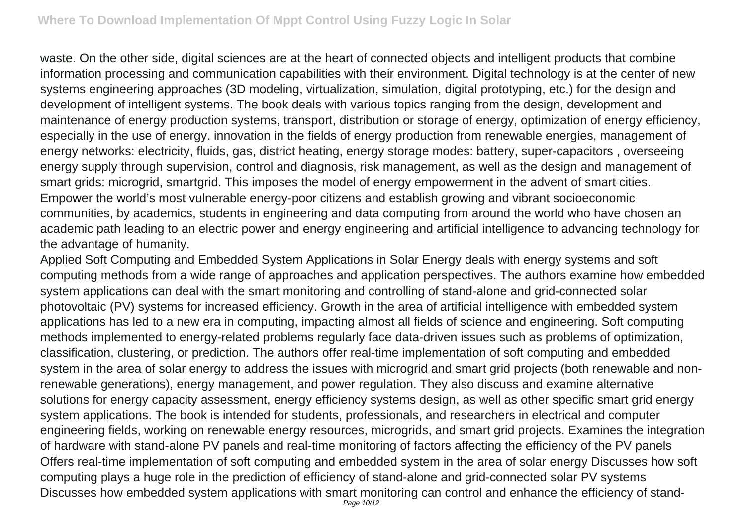waste. On the other side, digital sciences are at the heart of connected objects and intelligent products that combine information processing and communication capabilities with their environment. Digital technology is at the center of new systems engineering approaches (3D modeling, virtualization, simulation, digital prototyping, etc.) for the design and development of intelligent systems. The book deals with various topics ranging from the design, development and maintenance of energy production systems, transport, distribution or storage of energy, optimization of energy efficiency, especially in the use of energy. innovation in the fields of energy production from renewable energies, management of energy networks: electricity, fluids, gas, district heating, energy storage modes: battery, super-capacitors , overseeing energy supply through supervision, control and diagnosis, risk management, as well as the design and management of smart grids: microgrid, smartgrid. This imposes the model of energy empowerment in the advent of smart cities. Empower the world's most vulnerable energy-poor citizens and establish growing and vibrant socioeconomic communities, by academics, students in engineering and data computing from around the world who have chosen an academic path leading to an electric power and energy engineering and artificial intelligence to advancing technology for the advantage of humanity.

Applied Soft Computing and Embedded System Applications in Solar Energy deals with energy systems and soft computing methods from a wide range of approaches and application perspectives. The authors examine how embedded system applications can deal with the smart monitoring and controlling of stand-alone and grid-connected solar photovoltaic (PV) systems for increased efficiency. Growth in the area of artificial intelligence with embedded system applications has led to a new era in computing, impacting almost all fields of science and engineering. Soft computing methods implemented to energy-related problems regularly face data-driven issues such as problems of optimization, classification, clustering, or prediction. The authors offer real-time implementation of soft computing and embedded system in the area of solar energy to address the issues with microgrid and smart grid projects (both renewable and nonrenewable generations), energy management, and power regulation. They also discuss and examine alternative solutions for energy capacity assessment, energy efficiency systems design, as well as other specific smart grid energy system applications. The book is intended for students, professionals, and researchers in electrical and computer engineering fields, working on renewable energy resources, microgrids, and smart grid projects. Examines the integration of hardware with stand-alone PV panels and real-time monitoring of factors affecting the efficiency of the PV panels Offers real-time implementation of soft computing and embedded system in the area of solar energy Discusses how soft computing plays a huge role in the prediction of efficiency of stand-alone and grid-connected solar PV systems Discusses how embedded system applications with smart monitoring can control and enhance the efficiency of stand-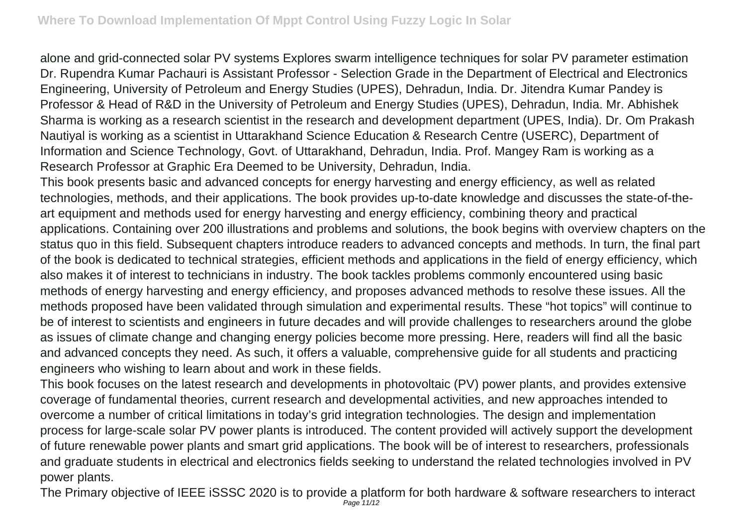alone and grid-connected solar PV systems Explores swarm intelligence techniques for solar PV parameter estimation Dr. Rupendra Kumar Pachauri is Assistant Professor - Selection Grade in the Department of Electrical and Electronics Engineering, University of Petroleum and Energy Studies (UPES), Dehradun, India. Dr. Jitendra Kumar Pandey is Professor & Head of R&D in the University of Petroleum and Energy Studies (UPES), Dehradun, India. Mr. Abhishek Sharma is working as a research scientist in the research and development department (UPES, India). Dr. Om Prakash Nautiyal is working as a scientist in Uttarakhand Science Education & Research Centre (USERC), Department of Information and Science Technology, Govt. of Uttarakhand, Dehradun, India. Prof. Mangey Ram is working as a Research Professor at Graphic Era Deemed to be University, Dehradun, India.

This book presents basic and advanced concepts for energy harvesting and energy efficiency, as well as related technologies, methods, and their applications. The book provides up-to-date knowledge and discusses the state-of-theart equipment and methods used for energy harvesting and energy efficiency, combining theory and practical applications. Containing over 200 illustrations and problems and solutions, the book begins with overview chapters on the status quo in this field. Subsequent chapters introduce readers to advanced concepts and methods. In turn, the final part of the book is dedicated to technical strategies, efficient methods and applications in the field of energy efficiency, which also makes it of interest to technicians in industry. The book tackles problems commonly encountered using basic methods of energy harvesting and energy efficiency, and proposes advanced methods to resolve these issues. All the methods proposed have been validated through simulation and experimental results. These "hot topics" will continue to be of interest to scientists and engineers in future decades and will provide challenges to researchers around the globe as issues of climate change and changing energy policies become more pressing. Here, readers will find all the basic and advanced concepts they need. As such, it offers a valuable, comprehensive guide for all students and practicing engineers who wishing to learn about and work in these fields.

This book focuses on the latest research and developments in photovoltaic (PV) power plants, and provides extensive coverage of fundamental theories, current research and developmental activities, and new approaches intended to overcome a number of critical limitations in today's grid integration technologies. The design and implementation process for large-scale solar PV power plants is introduced. The content provided will actively support the development of future renewable power plants and smart grid applications. The book will be of interest to researchers, professionals and graduate students in electrical and electronics fields seeking to understand the related technologies involved in PV power plants.

The Primary objective of IEEE iSSSC 2020 is to provide a platform for both hardware & software researchers to interact Page 11/12